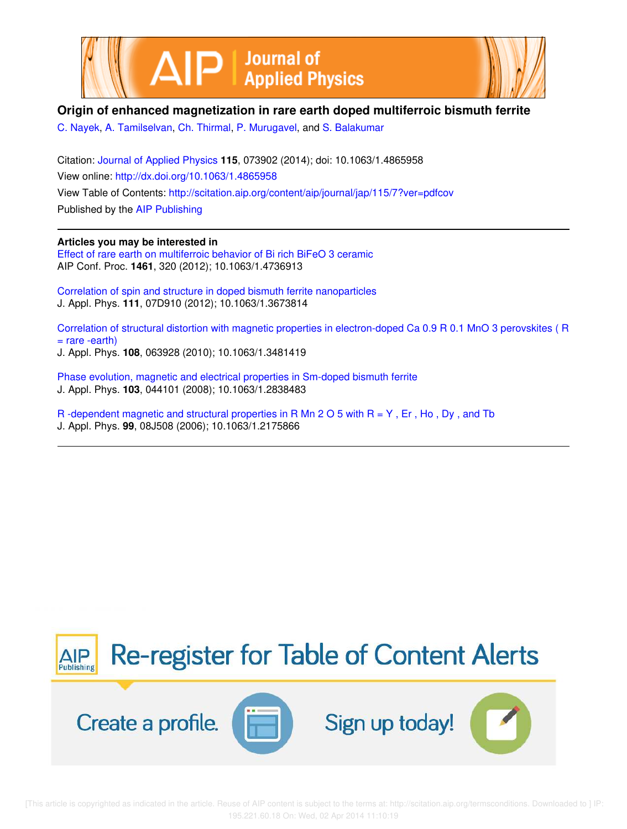



## **Origin of enhanced magnetization in rare earth doped multiferroic bismuth ferrite**

C. Nayek, A. Tamilselvan, Ch. Thirmal, P. Murugavel, and S. Balakumar

Citation: Journal of Applied Physics **115**, 073902 (2014); doi: 10.1063/1.4865958 View online: http://dx.doi.org/10.1063/1.4865958 View Table of Contents: http://scitation.aip.org/content/aip/journal/jap/115/7?ver=pdfcov Published by the AIP Publishing

## **Articles you may be interested in**

Effect of rare earth on multiferroic behavior of Bi rich BiFeO 3 ceramic AIP Conf. Proc. **1461**, 320 (2012); 10.1063/1.4736913

Correlation of spin and structure in doped bismuth ferrite nanoparticles J. Appl. Phys. **111**, 07D910 (2012); 10.1063/1.3673814

Correlation of structural distortion with magnetic properties in electron-doped Ca 0.9 R 0.1 MnO 3 perovskites ( R  $=$  rare -earth) J. Appl. Phys. **108**, 063928 (2010); 10.1063/1.3481419

Phase evolution, magnetic and electrical properties in Sm-doped bismuth ferrite J. Appl. Phys. **103**, 044101 (2008); 10.1063/1.2838483

R -dependent magnetic and structural properties in R Mn 2 O 5 with R = Y , Er , Ho , Dy , and Tb J. Appl. Phys. **99**, 08J508 (2006); 10.1063/1.2175866

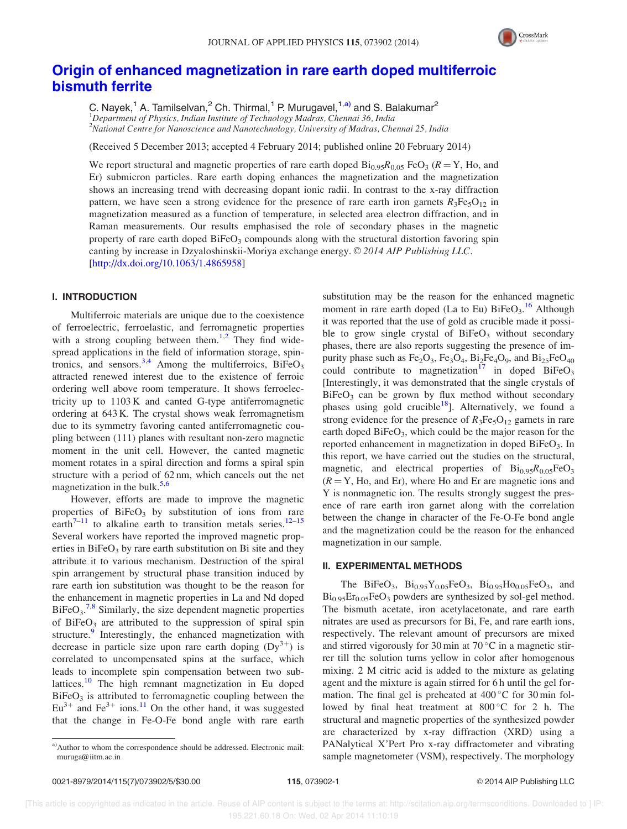

# Origin of enhanced magnetization in rare earth doped multiferroic bismuth ferrite

C. Nayek,<sup>1</sup> A. Tamilselvan,<sup>2</sup> Ch. Thirmal,<sup>1</sup> P. Murugavel,<sup>1,a)</sup> and S. Balakumar<sup>2</sup> <sup>1</sup>Department of Physics, Indian Institute of Technology Madras, Chennai 36, India <sup>2</sup>National Centre for Nanoscience and Nanotechnology, University of Madras, Chennai 25, India

(Received 5 December 2013; accepted 4 February 2014; published online 20 February 2014)

We report structural and magnetic properties of rare earth doped  $Bi_{0.95}R_{0.05}$  FeO<sub>3</sub> ( $R = Y$ , Ho, and Er) submicron particles. Rare earth doping enhances the magnetization and the magnetization shows an increasing trend with decreasing dopant ionic radii. In contrast to the x-ray diffraction pattern, we have seen a strong evidence for the presence of rare earth iron garnets  $R_3Fe_5O_{12}$  in magnetization measured as a function of temperature, in selected area electron diffraction, and in Raman measurements. Our results emphasised the role of secondary phases in the magnetic property of rare earth doped  $BiFeO<sub>3</sub>$  compounds along with the structural distortion favoring spin canting by increase in Dzyaloshinskii-Moriya exchange energy.  $\odot$  2014 AIP Publishing LLC. [http://dx.doi.org/10.1063/1.4865958]

## I. INTRODUCTION

Multiferroic materials are unique due to the coexistence of ferroelectric, ferroelastic, and ferromagnetic properties with a strong coupling between them.<sup>1,2</sup> They find widespread applications in the field of information storage, spintronics, and sensors.<sup>3,4</sup> Among the multiferroics, BiFeO<sub>3</sub> attracted renewed interest due to the existence of ferroic ordering well above room temperature. It shows ferroelectricity up to 1103 K and canted G-type antiferromagnetic ordering at 643 K. The crystal shows weak ferromagnetism due to its symmetry favoring canted antiferromagnetic coupling between (111) planes with resultant non-zero magnetic moment in the unit cell. However, the canted magnetic moment rotates in a spiral direction and forms a spiral spin structure with a period of 62 nm, which cancels out the net magnetization in the bulk.<sup>5,6</sup>

However, efforts are made to improve the magnetic properties of  $BiFeO<sub>3</sub>$  by substitution of ions from rare earth $7-11$  to alkaline earth to transition metals series.<sup>12–15</sup> Several workers have reported the improved magnetic properties in  $BiFeO<sub>3</sub>$  by rare earth substitution on Bi site and they attribute it to various mechanism. Destruction of the spiral spin arrangement by structural phase transition induced by rare earth ion substitution was thought to be the reason for the enhancement in magnetic properties in La and Nd doped  $BiFeO<sub>3</sub>$ <sup>7,8</sup> Similarly, the size dependent magnetic properties of BiFe $O_3$  are attributed to the suppression of spiral spin structure. $9$  Interestingly, the enhanced magnetization with decrease in particle size upon rare earth doping  $(Dy^{3+})$  is correlated to uncompensated spins at the surface, which leads to incomplete spin compensation between two sublattices.<sup>10</sup> The high remnant magnetization in Eu doped  $BiFeO<sub>3</sub>$  is attributed to ferromagnetic coupling between the  $Eu^{3+}$  and Fe<sup>3+</sup> ions.<sup>11</sup> On the other hand, it was suggested that the change in Fe-O-Fe bond angle with rare earth

substitution may be the reason for the enhanced magnetic moment in rare earth doped (La to Eu) BiFeO<sub>3</sub>.<sup>16</sup> Although it was reported that the use of gold as crucible made it possible to grow single crystal of  $BiFeO<sub>3</sub>$  without secondary phases, there are also reports suggesting the presence of impurity phase such as  $Fe<sub>2</sub>O<sub>3</sub>$ ,  $Fe<sub>3</sub>O<sub>4</sub>$ ,  $Bi<sub>2</sub>Fe<sub>4</sub>O<sub>9</sub>$ , and  $Bi<sub>25</sub>FeO<sub>40</sub>$ could contribute to magnetization<sup>17</sup> in doped BiFeO<sub>3</sub> [Interestingly, it was demonstrated that the single crystals of  $BiFeO<sub>3</sub>$  can be grown by flux method without secondary phases using gold crucible<sup>18</sup>]. Alternatively, we found a strong evidence for the presence of  $R_3Fe_5O_{12}$  garnets in rare earth doped BiFeO<sub>3</sub>, which could be the major reason for the reported enhancement in magnetization in doped  $BiFeO<sub>3</sub>$ . In this report, we have carried out the studies on the structural, magnetic, and electrical properties of  $\text{Bi}_{0.95}R_{0.05}\text{FeO}_3$  $(R = Y, Ho, and Er)$ , where Ho and Er are magnetic ions and Y is nonmagnetic ion. The results strongly suggest the presence of rare earth iron garnet along with the correlation between the change in character of the Fe-O-Fe bond angle and the magnetization could be the reason for the enhanced magnetization in our sample.

#### II. EXPERIMENTAL METHODS

The BiFeO<sub>3</sub>,  $Bi_{0.95}Y_{0.05}FeO_3$ ,  $Bi_{0.95}Ho_{0.05}FeO_3$ , and  $Bi_{0.95}Er_{0.05}FeO_3$  powders are synthesized by sol-gel method. The bismuth acetate, iron acetylacetonate, and rare earth nitrates are used as precursors for Bi, Fe, and rare earth ions, respectively. The relevant amount of precursors are mixed and stirred vigorously for 30 min at 70 $\mathrm{^{\circ}C}$  in a magnetic stirrer till the solution turns yellow in color after homogenous mixing. 2 M citric acid is added to the mixture as gelating agent and the mixture is again stirred for 6 h until the gel formation. The final gel is preheated at  $400^{\circ}$ C for  $30$  min followed by final heat treatment at  $800^{\circ}$ C for 2 h. The structural and magnetic properties of the synthesized powder are characterized by x-ray diffraction (XRD) using a PANalytical X'Pert Pro x-ray diffractometer and vibrating sample magnetometer (VSM), respectively. The morphology

a)Author to whom the correspondence should be addressed. Electronic mail: muruga@iitm.ac.in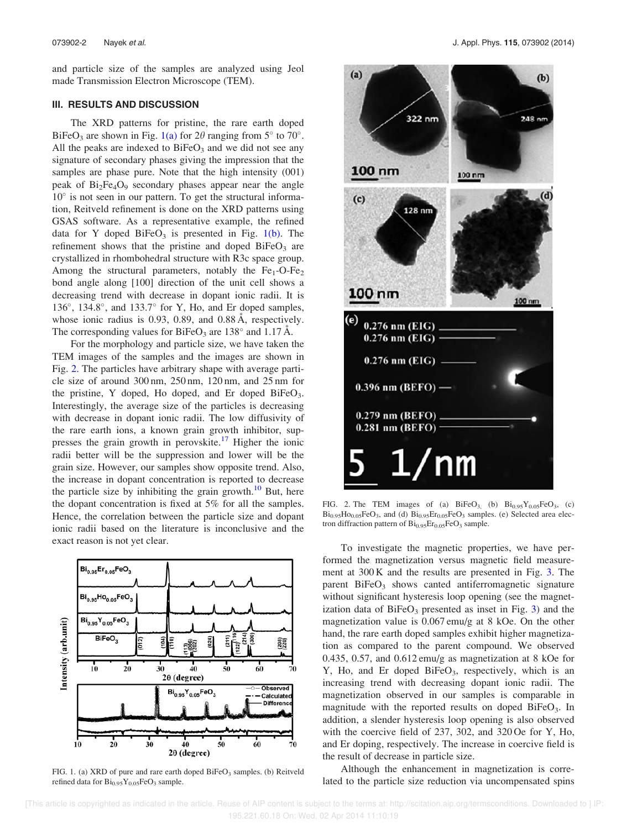and particle size of the samples are analyzed using Jeol made Transmission Electron Microscope (TEM).

### III. RESULTS AND DISCUSSION

The XRD patterns for pristine, the rare earth doped BiFeO<sub>3</sub> are shown in Fig. 1(a) for  $2\theta$  ranging from  $5^{\circ}$  to  $70^{\circ}$ . All the peaks are indexed to  $BiFeO<sub>3</sub>$  and we did not see any signature of secondary phases giving the impression that the samples are phase pure. Note that the high intensity (001) peak of  $Bi<sub>2</sub>Fe<sub>4</sub>O<sub>9</sub>$  secondary phases appear near the angle 10° is not seen in our pattern. To get the structural information, Reitveld refinement is done on the XRD patterns using GSAS software. As a representative example, the refined data for Y doped  $BiFeO<sub>3</sub>$  is presented in Fig. 1(b). The refinement shows that the pristine and doped  $BiFeO<sub>3</sub>$  are crystallized in rhombohedral structure with R3c space group. Among the structural parameters, notably the  $Fe<sub>1</sub>-O-Fe<sub>2</sub>$ bond angle along [100] direction of the unit cell shows a decreasing trend with decrease in dopant ionic radii. It is 136°, 134.8°, and 133.7° for Y, Ho, and Er doped samples, whose ionic radius is 0.93, 0.89, and 0.88 Å, respectively. The corresponding values for BiFeO<sub>3</sub> are 138 $^{\circ}$  and 1.17 Å.

For the morphology and particle size, we have taken the TEM images of the samples and the images are shown in Fig. 2. The particles have arbitrary shape with average particle size of around 300 nm, 250 nm, 120 nm, and 25 nm for the pristine, Y doped, Ho doped, and Er doped BiFe $O_3$ . Interestingly, the average size of the particles is decreasing with decrease in dopant ionic radii. The low diffusivity of the rare earth ions, a known grain growth inhibitor, suppresses the grain growth in perovskite.<sup>17</sup> Higher the ionic radii better will be the suppression and lower will be the grain size. However, our samples show opposite trend. Also, the increase in dopant concentration is reported to decrease the particle size by inhibiting the grain growth. $10$  But, here the dopant concentration is fixed at 5% for all the samples. Hence, the correlation between the particle size and dopant ionic radii based on the literature is inconclusive and the



FIG. 1. (a) XRD of pure and rare earth doped  $BiFeO<sub>3</sub>$  samples. (b) Reitveld refined data for  $Bi_{0.95}Y_{0.05}FeO_3$  sample.



FIG. 2. The TEM images of (a)  $BiFeO<sub>3</sub>$ , (b)  $Bi<sub>0.95</sub>Y<sub>0.05</sub>FeO<sub>3</sub>$ , (c)  $Bi_{0.95}Ho_{0.05}FeO_3$ , and (d)  $Bi_{0.95}Er_{0.05}FeO_3$  samples. (e) Selected area electron diffraction pattern of  $Bi_{0.95}Er_{0.05}FeO_3$  sample.

exact reason is not yet clear.<br>To investigate the magnetic properties, we have performed the magnetization versus magnetic field measurement at 300 K and the results are presented in Fig. 3. The parent  $BiFeO<sub>3</sub>$  shows canted antiferromagnetic signature without significant hysteresis loop opening (see the magnetization data of  $BiFeO<sub>3</sub>$  presented as inset in Fig. 3) and the magnetization value is 0.067 emu/g at 8 kOe. On the other hand, the rare earth doped samples exhibit higher magnetization as compared to the parent compound. We observed 0.435, 0.57, and 0.612 emu/g as magnetization at 8 kOe for Y, Ho, and Er doped BiFeO<sub>3</sub>, respectively, which is an increasing trend with decreasing dopant ionic radii. The magnetization observed in our samples is comparable in magnitude with the reported results on doped BiFeO<sub>3</sub>. In addition, a slender hysteresis loop opening is also observed with the coercive field of 237, 302, and 320 Oe for Y, Ho, and Er doping, respectively. The increase in coercive field is the result of decrease in particle size.

> Although the enhancement in magnetization is correlated to the particle size reduction via uncompensated spins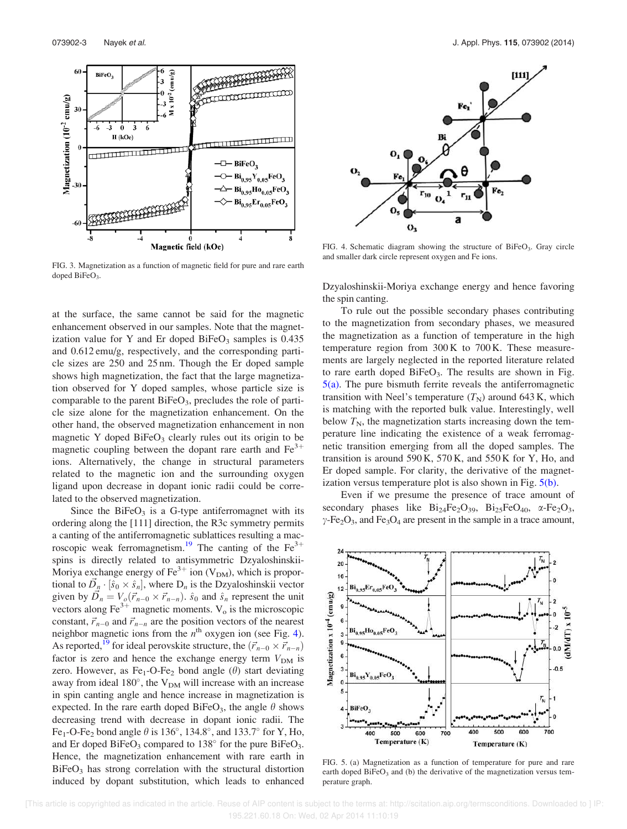

FIG. 3. Magnetization as a function of magnetic field for pure and rare earth doped  $BiFeO<sub>3</sub>$ .

at the surface, the same cannot be said for the magnetic enhancement observed in our samples. Note that the magnetization value for Y and Er doped BiFe $O_3$  samples is 0.435 and 0.612 emu/g, respectively, and the corresponding particle sizes are 250 and 25 nm. Though the Er doped sample shows high magnetization, the fact that the large magnetization observed for Y doped samples, whose particle size is comparable to the parent  $BiFeO<sub>3</sub>$ , precludes the role of particle size alone for the magnetization enhancement. On the other hand, the observed magnetization enhancement in non magnetic Y doped  $BiFeO<sub>3</sub>$  clearly rules out its origin to be magnetic coupling between the dopant rare earth and  $Fe<sup>3+</sup>$ ions. Alternatively, the change in structural parameters related to the magnetic ion and the surrounding oxygen ligand upon decrease in dopant ionic radii could be correlated to the observed magnetization.

Since the  $BiFeO<sub>3</sub>$  is a G-type antiferromagnet with its ordering along the [111] direction, the R3c symmetry permits a canting of the antiferromagnetic sublattices resulting a macroscopic weak ferromagnetism.<sup>19</sup> The canting of the Fe<sup>3+</sup> spins is directly related to antisymmetric Dzyaloshinskii-Moriya exchange energy of  $\text{Fe}^{3+}$  ion (V<sub>DM</sub>), which is proportional to  $\vec{D}_n \cdot [\hat{s}_0 \times \hat{s}_n]$ , where  $D_n$  is the Dzyaloshinskii vector given by  $\overrightarrow{D}_n = V_o(\overrightarrow{r}_{n-0} \times \overrightarrow{r}_{n-n})$ .  $\hat{s}_0$  and  $\hat{s}_n$  represent the unit vectors along  $\text{Fe}^{3+}$  magnetic moments.  $\text{V}_0$  is the microscopic constant,  $\vec{r}_{n-0}$  and  $\vec{r}_{n-n}$  are the position vectors of the nearest neighbor magnetic ions from the  $n^{\text{th}}$  oxygen ion (see Fig. 4). As reported,<sup>19</sup> for ideal perovskite structure, the  $(\vec{r}_{n-0} \times \vec{r}_{n-n})$ factor is zero and hence the exchange energy term  $V_{DM}$  is zero. However, as  $Fe<sub>1</sub>-O-Fe<sub>2</sub>$  bond angle ( $\theta$ ) start deviating away from ideal  $180^\circ$ , the  $V_{DM}$  will increase with an increase in spin canting angle and hence increase in magnetization is expected. In the rare earth doped BiFeO<sub>3</sub>, the angle  $\theta$  shows decreasing trend with decrease in dopant ionic radii. The Fe<sub>1</sub>-O-Fe<sub>2</sub> bond angle  $\theta$  is 136°, 134.8°, and 133.7° for Y, Ho, and Er doped BiFeO<sub>3</sub> compared to  $138^{\circ}$  for the pure BiFeO<sub>3</sub>. Hence, the magnetization enhancement with rare earth in  $BiFeO<sub>3</sub>$  has strong correlation with the structural distortion induced by dopant substitution, which leads to enhanced



FIG. 4. Schematic diagram showing the structure of BiFeO<sub>3</sub>. Gray circle and smaller dark circle represent oxygen and Fe ions.

Dzyaloshinskii-Moriya exchange energy and hence favoring the spin canting.

To rule out the possible secondary phases contributing to the magnetization from secondary phases, we measured the magnetization as a function of temperature in the high temperature region from 300 K to 700 K. These measurements are largely neglected in the reported literature related to rare earth doped  $BiFeO<sub>3</sub>$ . The results are shown in Fig.  $5(a)$ . The pure bismuth ferrite reveals the antiferromagnetic transition with Neel's temperature  $(T_N)$  around 643 K, which is matching with the reported bulk value. Interestingly, well below  $T_N$ , the magnetization starts increasing down the temperature line indicating the existence of a weak ferromagnetic transition emerging from all the doped samples. The transition is around  $590K$ ,  $570K$ , and  $550K$  for Y, Ho, and Er doped sample. For clarity, the derivative of the magnetization versus temperature plot is also shown in Fig. 5(b).

Even if we presume the presence of trace amount of secondary phases like  $Bi<sub>24</sub>Fe<sub>2</sub>O<sub>39</sub>$ ,  $Bi<sub>25</sub>FeO<sub>40</sub>$ ,  $\alpha$ -Fe<sub>2</sub>O<sub>3</sub>,  $\gamma$ -Fe<sub>2</sub>O<sub>3</sub>, and Fe<sub>3</sub>O<sub>4</sub> are present in the sample in a trace amount,



FIG. 5. (a) Magnetization as a function of temperature for pure and rare earth doped  $B$ iFeO<sub>3</sub> and (b) the derivative of the magnetization versus temperature graph.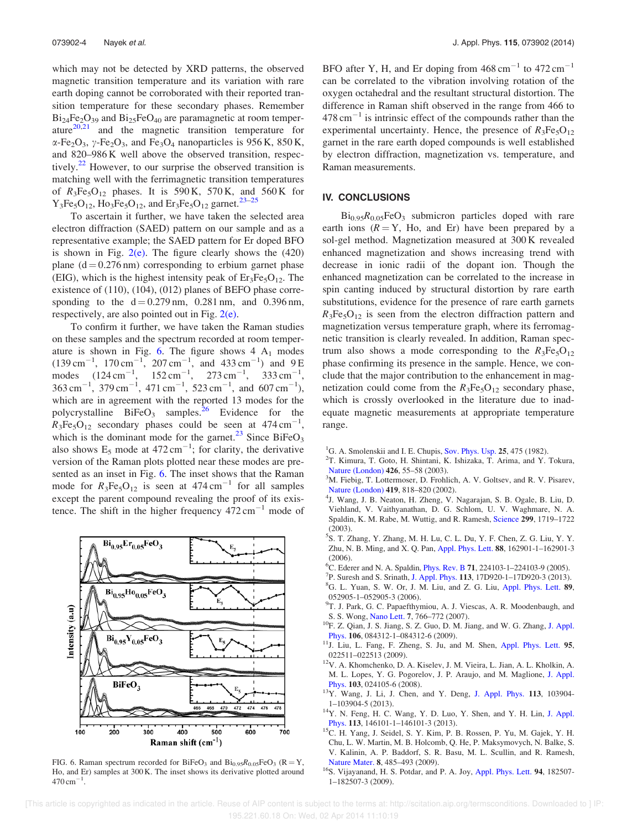which may not be detected by XRD patterns, the observed magnetic transition temperature and its variation with rare earth doping cannot be corroborated with their reported transition temperature for these secondary phases. Remember  $Bi<sub>24</sub>Fe<sub>2</sub>O<sub>39</sub>$  and  $Bi<sub>25</sub>FeO<sub>40</sub>$  are paramagnetic at room temperature $20,21$  and the magnetic transition temperature for  $\alpha$ -Fe<sub>2</sub>O<sub>3</sub>,  $\gamma$ -Fe<sub>2</sub>O<sub>3</sub>, and Fe<sub>3</sub>O<sub>4</sub> nanoparticles is 956 K, 850 K, and 820–986 K well above the observed transition, respectively.<sup>22</sup> However, to our surprise the observed transition is matching well with the ferrimagnetic transition temperatures of  $R_3Fe_5O_{12}$  phases. It is 590 K, 570 K, and 560 K for  $Y_3Fe_5O_{12}$ ,  $Ho_3Fe_5O_{12}$ , and  $Er_3Fe_5O_{12}$  garnet.<sup>23–25</sup>

To ascertain it further, we have taken the selected area electron diffraction (SAED) pattern on our sample and as a representative example; the SAED pattern for Er doped BFO is shown in Fig.  $2(e)$ . The figure clearly shows the  $(420)$ plane  $(d = 0.276 \text{ nm})$  corresponding to erbium garnet phase (EIG), which is the highest intensity peak of  $Er_3Fe_5O_{12}$ . The existence of (110), (104), (012) planes of BEFO phase corresponding to the  $d = 0.279$  nm, 0.281 nm, and 0.396 nm, respectively, are also pointed out in Fig.  $2(e)$ .

To confirm it further, we have taken the Raman studies on these samples and the spectrum recorded at room temperature is shown in Fig. 6. The figure shows  $4 \text{ A}_1$  modes  $(139 \text{ cm}^{-1}, 170 \text{ cm}^{-1}, 207 \text{ cm}^{-1}, \text{ and } 433 \text{ cm}^{-1})$  and 9E modes  $(124 \text{ cm}^{-1}, \quad 152 \text{ cm}^{-1}, \quad 273 \text{ cm}^{-1}, \quad 333 \text{ cm}^{-1},$  $363 \text{ cm}^{-1}$ ,  $379 \text{ cm}^{-1}$ ,  $471 \text{ cm}^{-1}$ ,  $523 \text{ cm}^{-1}$ , and  $607 \text{ cm}^{-1}$ ), which are in agreement with the reported 13 modes for the polycrystalline  $BiFeO<sub>3</sub>$  samples.<sup>26</sup> Evidence for the  $R_3Fe_5O_{12}$  secondary phases could be seen at 474 cm<sup>-1</sup>, which is the dominant mode for the garnet.<sup>23</sup> Since BiFeO<sub>3</sub> also shows  $E_5$  mode at 472 cm<sup>-1</sup>; for clarity, the derivative version of the Raman plots plotted near these modes are presented as an inset in Fig. 6. The inset shows that the Raman mode for  $R_3Fe_5O_{12}$  is seen at 474 cm<sup>-1</sup> for all samples except the parent compound revealing the proof of its existence. The shift in the higher frequency  $472 \text{ cm}^{-1}$  mode of



FIG. 6. Raman spectrum recorded for  $BiFeO<sub>3</sub>$  and  $Bi<sub>0.95</sub>R<sub>0.05</sub>FeO<sub>3</sub>$  (R = Y, Ho, and Er) samples at 300 K. The inset shows its derivative plotted around  $470 \text{ cm}^{-1}$ .

BFO after Y, H, and Er doping from  $468 \text{ cm}^{-1}$  to  $472 \text{ cm}^{-1}$ can be correlated to the vibration involving rotation of the oxygen octahedral and the resultant structural distortion. The difference in Raman shift observed in the range from 466 to  $478 \text{ cm}^{-1}$  is intrinsic effect of the compounds rather than the experimental uncertainty. Hence, the presence of  $R_3Fe_5O_{12}$ garnet in the rare earth doped compounds is well established by electron diffraction, magnetization vs. temperature, and Raman measurements.

### IV. CONCLUSIONS

 $Bi_{0.95}R_{0.05}FeO<sub>3</sub>$  submicron particles doped with rare earth ions  $(R = Y, Ho, and Er)$  have been prepared by a sol-gel method. Magnetization measured at 300 K revealed enhanced magnetization and shows increasing trend with decrease in ionic radii of the dopant ion. Though the enhanced magnetization can be correlated to the increase in spin canting induced by structural distortion by rare earth substitutions, evidence for the presence of rare earth garnets  $R_3Fe_5O_{12}$  is seen from the electron diffraction pattern and magnetization versus temperature graph, where its ferromagnetic transition is clearly revealed. In addition, Raman spectrum also shows a mode corresponding to the  $R_3Fe_5O_{12}$ phase confirming its presence in the sample. Hence, we conclude that the major contribution to the enhancement in magnetization could come from the  $R_3Fe_5O_{12}$  secondary phase, which is crossly overlooked in the literature due to inadequate magnetic measurements at appropriate temperature range.

- <sup>1</sup>G. A. Smolenskii and I. E. Chupis, Sov. Phys. Usp.  $25$ , 475 (1982).
- 2 T. Kimura, T. Goto, H. Shintani, K. Ishizaka, T. Arima, and Y. Tokura, Nature (London) 426, 55–58 (2003).
- <sup>3</sup>M. Fiebig, T. Lottermoser, D. Frohlich, A. V. Goltsev, and R. V. Pisarev, Nature (London) 419, 818–820 (2002).
- 4 J. Wang, J. B. Neaton, H. Zheng, V. Nagarajan, S. B. Ogale, B. Liu, D. Viehland, V. Vaithyanathan, D. G. Schlom, U. V. Waghmare, N. A. Spaldin, K. M. Rabe, M. Wuttig, and R. Ramesh, Science 299, 1719–1722 (2003).
- 5 S. T. Zhang, Y. Zhang, M. H. Lu, C. L. Du, Y. F. Chen, Z. G. Liu, Y. Y. Zhu, N. B. Ming, and X. Q. Pan, Appl. Phys. Lett. 88, 162901-1–162901-3 (2006).
- <sup>6</sup>C. Ederer and N. A. Spaldin, Phys. Rev. B 71, 224103-1–224103-9 (2005).
- 7 P. Suresh and S. Srinath, J. Appl. Phys. 113, 17D920-1–17D920-3 (2013).
- <sup>8</sup>G. L. Yuan, S. W. Or, J. M. Liu, and Z. G. Liu, Appl. Phys. Lett. 89, 052905-1–052905-3 (2006).
- <sup>9</sup>T. J. Park, G. C. Papaefthymiou, A. J. Viescas, A. R. Moodenbaugh, and S. S. Wong, Nano Lett. 7, 766–772 (2007).
- <sup>10</sup>F. Z. Qian, J. S. Jiang, S. Z. Guo, D. M. Jiang, and W. G. Zhang, J. Appl. Phys. 106, 084312-1–084312-6 (2009).
- <sup>11</sup>J. Liu, L. Fang, F. Zheng, S. Ju, and M. Shen, Appl. Phys. Lett. 95, 022511–022513 (2009).
- $12V$ . A. Khomchenko, D. A. Kiselev, J. M. Vieira, L. Jian, A. L. Kholkin, A. M. L. Lopes, Y. G. Pogorelov, J. P. Araujo, and M. Maglione, J. Appl. Phys. 103, 024105-6 (2008).
- <sup>13</sup>Y. Wang, J. Li, J. Chen, and Y. Deng, J. Appl. Phys. 113, 103904- 1–103904-5 (2013).
- <sup>14</sup>Y. N. Feng, H. C. Wang, Y. D. Luo, Y. Shen, and Y. H. Lin, J. Appl. Phys. 113, 146101-1–146101-3 (2013).
- <sup>15</sup>C. H. Yang, J. Seidel, S. Y. Kim, P. B. Rossen, P. Yu, M. Gajek, Y. H. Chu, L. W. Martin, M. B. Holcomb, Q. He, P. Maksymovych, N. Balke, S. V. Kalinin, A. P. Baddorf, S. R. Basu, M. L. Scullin, and R. Ramesh, Nature Mater. 8, 485–493 (2009).
- <sup>16</sup>S. Vijayanand, H. S. Potdar, and P. A. Joy, Appl. Phys. Lett. 94, 182507-1–182507-3 (2009).